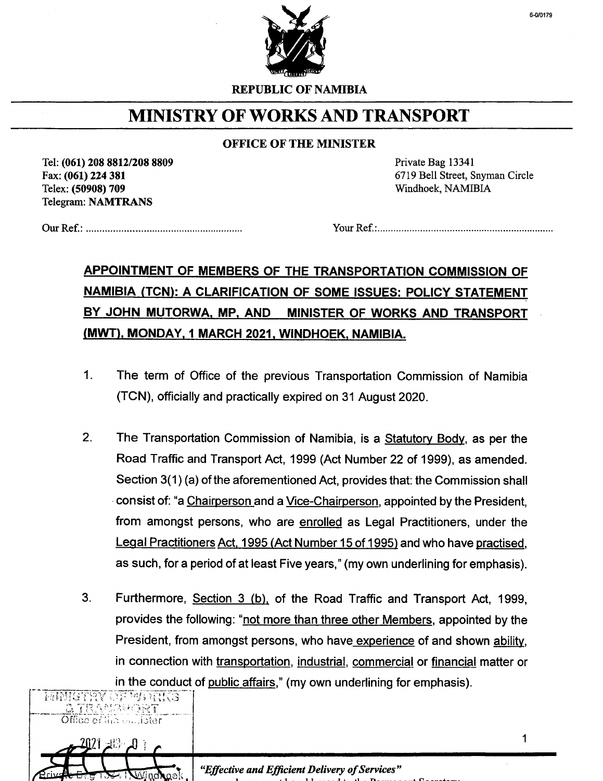

REPUBLIC OF NAMIBIA

## MINISTRY OF WORKS AND TRANSPORT

## OFFICE OF THE MINISTER

Tel: (061) 208 8812/208 8809 Fax: (061) 224 381 Telex: (50908) 709 Telegram: NAMTRANS

Private Bag 13341 6719 Bell Street, Snyman Circle Windhoek, NAMIBIA

Our Ref.: . Your Ref.: .

## APPOINTMENT OF MEMBERS OF THE TRANSPORTATION COMMISSION OF NAMIBIA (TCN): A CLARIFICATION OF SOME ISSUES: POLICY STATEMENT BY JOHN MUTORWA, MP, AND MINISTER OF WORKS AND TRANSPORT (MWT), MONDAY, 1 MARCH 2021, WINDHOEK, NAMIBIA.

- 1. The term of Office of the previous Transportation Commission of Namibia (TeN), officially and practically expired on 31 August 2020.
- 2. The Transportation Commission of Namibia, is a Statutory Body, as per the Road Traffic and Transport Act, 1999 (Act Number 22 of 1999), as amended. Section 3(1) (a) of the aforementioned Act, provides that: the Commission shall .consist of: "a Chairperson and a Vice-Chairperson, appointed by the President, from amongst persons, who are enrolled as Legal Practitioners, under the Legal Practitioners Act. 1995 (Act Number 15 of 1995) and who have practised, as such, for a period of at least Five years," (my own underlining for emphasis).
- 3. Furthermore, Section 3 (b). of the Road Traffic and Transport Act, 1999, provides the following: "not more than three other Members, appointed by the President, from amongst persons, who have experience of and shown ability, in connection with transportation, industrial, commercial or financial matter or in the conduct of public affairs," (my own underlining for emphasis).



Erive Letter 1 Wind pok effective and *Efficient Delivery of Services*"

1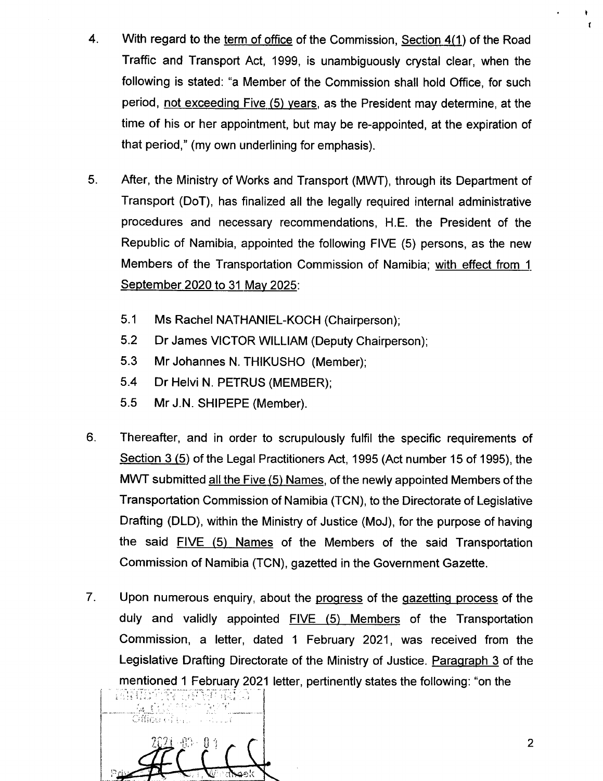- 4. With regard to the term of office of the Commission, Section  $4(1)$  of the Road Traffic and Transport Act, 1999, is unambiguously crystal clear, when the following is stated: "a Member of the Commission shall hold Office, for such period, not exceeding Five. (5) years, as the President may determine, at the time of his or her appointment, but may be re-appointed, at the expiration of that period," (my own underlining for emphasis).
- 5. After, the Ministry of Works and Transport (MWT), through its Department of Transport (DoT), has finalized all the legally required internal administrative procedures and necessary recommendations, H.E. the President of the Republic of Namibia, appointed the following FIVE (5) persons, as the new Members of the Transportation Commission of Namibia; with effect from 1. September 2020 to 31 May 2025:
	- 5.1 Ms Rachel NATHANIEL-KOCH (Chairperson);
	- 5.2 Dr James VICTOR WILLIAM (Deputy Chairperson);
	- 5.3 Mr Johannes N. THIKUSHO (Member);
	- 5.4 Dr Helvi N. PETRUS (MEMBER);
	- 5.5 Mr J.N. SHIPEPE (Member).
- 6. Thereafter, and in order to scrupulously fulfil the specific requirements of Section 3 (5) of the Legal Practitioners Act, 1995 (Act number 15 of 1995), the MWT submitted all the Five (5) Names, of the newly appointed Members of the Transportation Commission of Namibia (TCN), to the Directorate of Legislative Drafting (OLD), within the Ministry of Justice (MoJ), for the purpose of having the said FIVE (5) Names of the Members of the said Transportation Commission of Namibia (TCN), gazetted in the Government Gazette.
- Upon numerous enquiry, about the progress of the gazetting process of the duly and validly appointed FIVE (5) Members of the Transportation Commission, a letter, dated 1 February 2021, was received from the Legislative Drafting Directorate of the Ministry of Justice. Paragraph 3 of the mentioned 1 February 2021 letter, pertinently states the following: "on the 7.



2

• f

 $\cdot$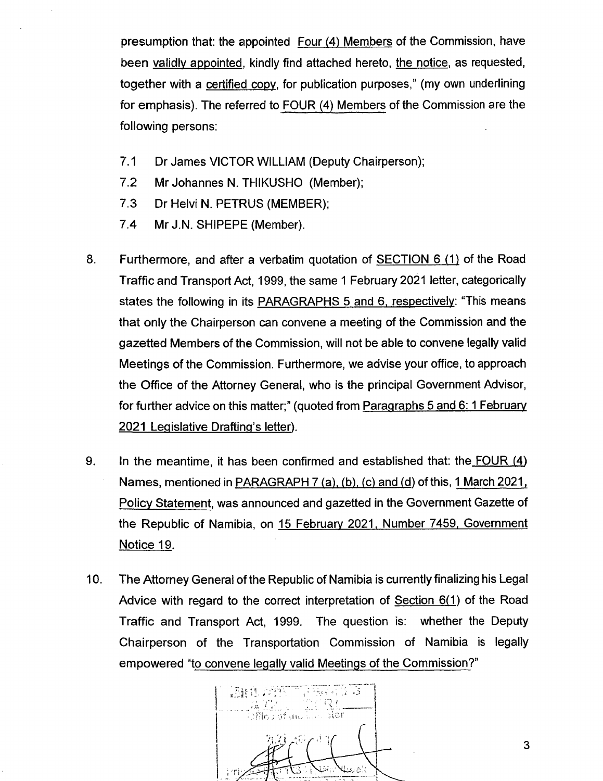presumption that: the appointed Four (4) Members of the Commission, have been validly appointed, kindly find attached hereto, the notice, as requested, together with a certified copy, for publication purposes," (my own underlining for emphasis). The referred to FOUR (4) Members of the Commission are the following persons:

- 7.1 Dr James VICTOR WILLIAM (Deputy Chairperson);
- 7.2 Mr Johannes N. THIKUSHO (Member);
- 7.3 Dr Helvi N. PETRUS (MEMBER);
- 7.4 Mr J.N. SHIPEPE (Member).
- 8. Furthermore, and after a verbatim quotation of SECTION 6 (1) of the Road Traffic and Transport Act, 1999, the same 1 February 2021 letter, categorically states the following in its PARAGRAPHS 5 and 6, respectively: "This means that only the Chairperson can convene a meeting of the Commission and the gazetted Members of the Commission, will not be able to convene legally valid Meetings of the Commission. Furthermore, we advise your office, to approach the Office of the Attorney General, who is the principal Government Advisor, for further advice on this matter;" (quoted from Paragraphs 5 and 6: 1 February 2021 Legislative Drafting's letter).
- 9. In the meantime, it has been confirmed and established that: the FOUR (4) Names, mentioned in PARAGRAPH 7 (a), (b), (c) and (d) of this, 1 March 2021, Policy Statement, was announced and gazetted in the Government Gazette of the Republic of Namibia, on 15 February 2021, Number 7459, Government Notice 19.
- 10. The Attorney General of the Republic of Namibia is currently finalizing his Legal Advice with regard to the correct interpretation of Section 6(1) of the Road Traffic and Transport Act, 1999. The question is: whether the Deputy Chairperson of the Transportation Commission of Namibia is legally empowered "to convene legally valid Meetings of the Commission?"